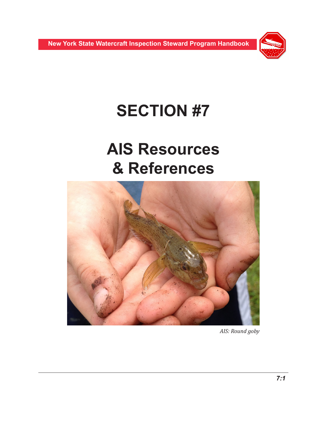

# **SECTION #7**

# **AIS Resources & References**



*AIS: Round goby*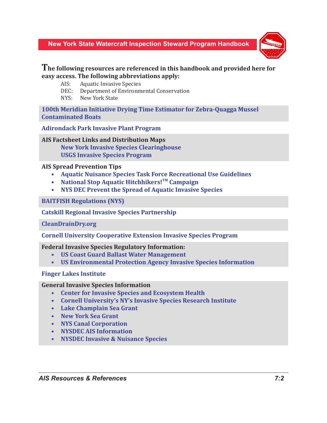

# **The following resources are referenced in this handbook and provided here for easy access. The following abbreviations apply:**

- AIS: Aquatic Invasive Species
- DEC: Department of Environmental Conservation
- NYS: New York State

**[100th Meridian Initiative](http://www.100thmeridian.org/) Drying Time Estimator for Zebra-Quagga Mussel Contaminated Boats**

**[Adirondack Park Invasive Plant Program](http://adkinvasives.com/)**

**AIS Factsheet Links and Distribution Maps**

**[New York Invasive Species Clearinghouse](http://nyis.info) [USGS Invasive Species Program](http://www.usgs.gov/ecosystems/invasive_species/)**

## **AIS Spread Prevention Tips**

- **• [Aquatic Nuisance Species Task Force Recreational Use Guidelines](http://www.anstaskforce.gov/TF%20Fact%20Sheet%20-%20Rec.%20Guidelines.pdf)**
- National Stop Aquatic Hitchhikers!<sup>TM</sup> Campaign
- **• [NYS DEC Prevent the Spread of Aquatic Invasive Species](http://www.dec.ny.gov/animals/48221.html)**

## **[BAITFISH Regulations \(NYS\)](http://www.dec.ny.gov/outdoor/47282.html)**

**[Catskill Regional Invasive Species Partnership](http://catskillinvasives.com/)**

**[CleanDrainDry.org](http://CleanDrainDry.org)**

**[Cornell University Cooperative Extension Invasive Species Program](http://www.nyis.info/index.php?action=about)**

**Federal Invasive Species Regulatory Information:**

- **• [US Coast Guard Ballast Water Management](http://www.uscg.mil/hq/cgcvc/)**
- **• [US Environmental Protection Agency Invasive Species Information](http://water.epa.gov/type/oceb/habitat/invasive_species_index.cfm)**

# **[Finger Lakes Institute](http://www.hws.edu/fli/about.aspx)**

**General Invasive Species Information** 

- **• [Center for Invasive Species and Ecosystem Health](http://www.invasive.org/)**
- **• [Cornell University's NY's Invasive Species Research Institute](http://nyisri.org)**
- **• [Lake Champlain Sea Grant](http://www.uvm.edu/seagrant/)**
- **• [New York Sea Grant](http://www.nyseagrant.org)**
- **• [NYS Canal Corporation](http://www.canals.ny.gov/index.shtml)**
- **• [NYSDEC AIS Information](http://www.dec.ny.gov/animals/50121.html)**
- **• [NYSDEC Invasive & Nuisance Species](http://www.dec.ny.gov/animals/265.html)**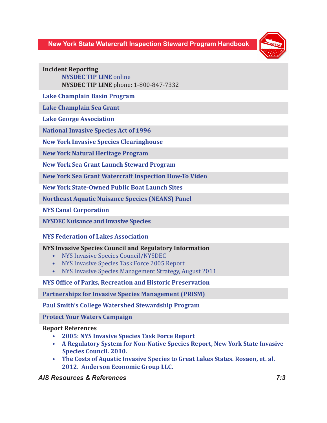

**Incident Reporting [NYSDEC TIP LINE](http://www.dec.ny.gov/regulations/393.html)** online **NYSDEC TIP LINE** phone: 1-800-847-7332

**[Lake Champlain Basin Program](http://www.lcbp.org/)** 

**[Lake Champlain Sea Grant](http://www.uvm.edu/seagrant/)**

**[Lake George Association](http://www.lakegeorgeassociation.org/)** 

**[National Invasive Species Act of 1996](http://www.anstaskforce.gov/Documents/NISA1996.pdf)**

**[New York Invasive Species Clearinghouse](http://nyis.info/)**

**[New York Natural Heritage Program](http://www.dec.ny.gov/animals/29338.html)**

**[New York Sea Grant](http://www.seagrant.sunysb.edu/ccd) Launch Steward Program**

**[New York Sea Grant Watercraft Inspection How-To Video](http://www.seagrant.sunysb.edu/articles/t/on-youtube-nysg-s-watercraft-inspection-how-to-video-coastal-community-development-program-news)**

**[New York State-Owned Public Boat Launch Sites](http://www.dec.ny.gov/outdoor/7832.html)**

**[Northeast Aquatic Nuisance Species \(NEANS\) Panel](http://www.northeastans.org/)**

**[NYS Canal Corporation](http://www.canals.ny.gov/)**

**[NYSDEC Nuisance and Invasive Species](http://www.dec.ny.gov/animals/265.html)**

# **[NYS Federation of Lakes Association](http://www.nysfola.org/)**

#### **NYS Invasive Species Council and Regulatory Information**

- [NYS Invasive Species Council/NYSDEC](http://www.dec.ny.gov/animals/6989.html)
- [NYS Invasive Species Task Force 2005 Report](http://www.nyis.info/pdf/NYS_ISTF_Final_Report.pdf)
- [NYS Invasive Species Management Strategy, August 2011](http://www.dec.ny.gov/docs/lands_forests_pdf/ismgmtstrategy.pdf)

#### **[NYS Office of Parks, Recreation and Historic Preservation](http://nysparks.com)**

**[Partnerships for Invasive Species Management \(PRISM\)](http://www.nyis.info/?action=prism_main)**

**[Paul Smith's College Watershed Stewardship Program](http://adkwatershed.com/stewardship.asp?pages_name=stewardship)**

**[Protect Your Waters Campaign](http://www.protectyourwaters.net/)**

#### **Report References**

- **• 2005: [NYS Invasive Species Task Force Report](http://www.nyis.info/pdf/NYS_ISTF_Final_Report.pdf)**
- **• [A Regulatory System for Non-Native Species Report, New York State Invasive](http://www.dec.ny.gov/docs/lands_forests_pdf/invasive062910.pdf)   [Species Council. 2010.](http://www.dec.ny.gov/docs/lands_forests_pdf/invasive062910.pdf)**
- **• [The Costs of Aquatic Invasive Species to Great Lakes States. Rosaen, et. al.](http://www.aquaticnuisance.org/wordpress/wp-content/uploads/2010/06/The_Costs_of_Aquatic_Invasive_Species_Nature_Conservancy_2012.pdf)   [2012. Anderson Economic Group LLC.](http://www.aquaticnuisance.org/wordpress/wp-content/uploads/2010/06/The_Costs_of_Aquatic_Invasive_Species_Nature_Conservancy_2012.pdf)**

#### *AIS Resources & References 7:3*